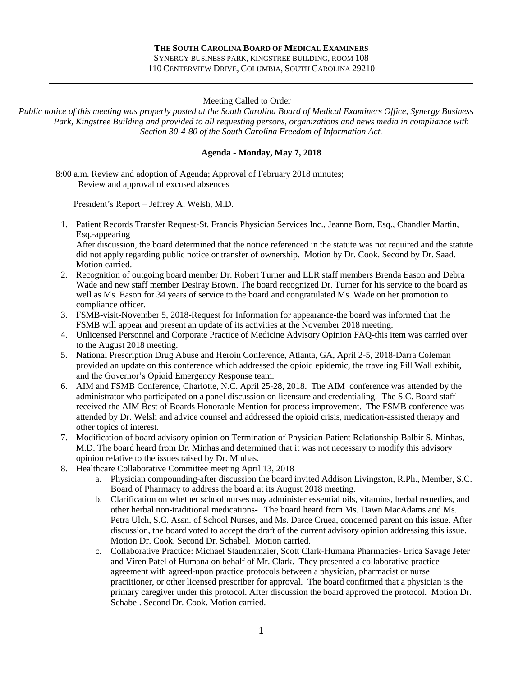#### Meeting Called to Order

*Public notice of this meeting was properly posted at the South Carolina Board of Medical Examiners Office, Synergy Business Park, Kingstree Building and provided to all requesting persons, organizations and news media in compliance with Section 30-4-80 of the South Carolina Freedom of Information Act.*

#### **Agenda - Monday, May 7, 2018**

 8:00 a.m. Review and adoption of Agenda; Approval of February 2018 minutes; Review and approval of excused absences

President's Report – Jeffrey A. Welsh, M.D.

1. Patient Records Transfer Request-St. Francis Physician Services Inc., Jeanne Born, Esq., Chandler Martin, Esq.-appearing

After discussion, the board determined that the notice referenced in the statute was not required and the statute did not apply regarding public notice or transfer of ownership. Motion by Dr. Cook. Second by Dr. Saad. Motion carried.

- 2. Recognition of outgoing board member Dr. Robert Turner and LLR staff members Brenda Eason and Debra Wade and new staff member Desiray Brown. The board recognized Dr. Turner for his service to the board as well as Ms. Eason for 34 years of service to the board and congratulated Ms. Wade on her promotion to compliance officer.
- 3. FSMB-visit-November 5, 2018-Request for Information for appearance-the board was informed that the FSMB will appear and present an update of its activities at the November 2018 meeting.
- 4. Unlicensed Personnel and Corporate Practice of Medicine Advisory Opinion FAQ-this item was carried over to the August 2018 meeting.
- 5. National Prescription Drug Abuse and Heroin Conference, Atlanta, GA, April 2-5, 2018-Darra Coleman provided an update on this conference which addressed the opioid epidemic, the traveling Pill Wall exhibit, and the Governor's Opioid Emergency Response team.
- 6. AIM and FSMB Conference, Charlotte, N.C. April 25-28, 2018. The AIM conference was attended by the administrator who participated on a panel discussion on licensure and credentialing. The S.C. Board staff received the AIM Best of Boards Honorable Mention for process improvement. The FSMB conference was attended by Dr. Welsh and advice counsel and addressed the opioid crisis, medication-assisted therapy and other topics of interest.
- 7. Modification of board advisory opinion on Termination of Physician-Patient Relationship-Balbir S. Minhas, M.D. The board heard from Dr. Minhas and determined that it was not necessary to modify this advisory opinion relative to the issues raised by Dr. Minhas.
- 8. Healthcare Collaborative Committee meeting April 13, 2018
	- a. Physician compounding-after discussion the board invited Addison Livingston, R.Ph., Member, S.C. Board of Pharmacy to address the board at its August 2018 meeting.
	- b. Clarification on whether school nurses may administer essential oils, vitamins, herbal remedies, and other herbal non-traditional medications- The board heard from Ms. Dawn MacAdams and Ms. Petra Ulch, S.C. Assn. of School Nurses, and Ms. Darce Cruea, concerned parent on this issue. After discussion, the board voted to accept the draft of the current advisory opinion addressing this issue. Motion Dr. Cook. Second Dr. Schabel. Motion carried.
	- c. Collaborative Practice: Michael Staudenmaier, Scott Clark-Humana Pharmacies- Erica Savage Jeter and Viren Patel of Humana on behalf of Mr. Clark. They presented a collaborative practice agreement with agreed-upon practice protocols between a physician, pharmacist or nurse practitioner, or other licensed prescriber for approval. The board confirmed that a physician is the primary caregiver under this protocol. After discussion the board approved the protocol. Motion Dr. Schabel. Second Dr. Cook. Motion carried.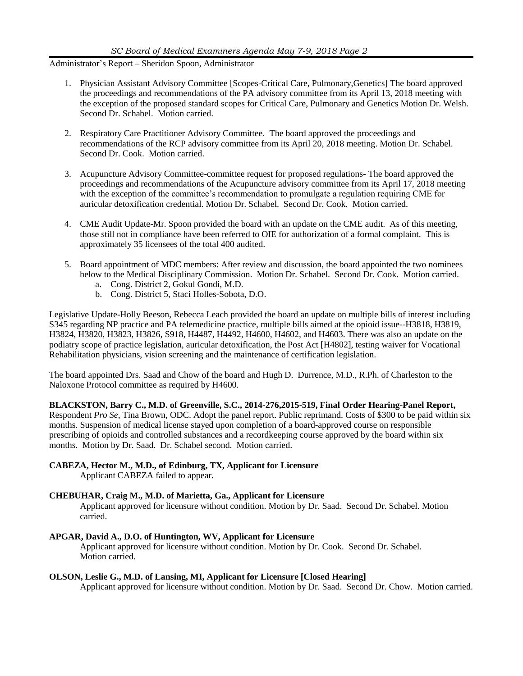Administrator's Report – Sheridon Spoon, Administrator

- 1. Physician Assistant Advisory Committee [Scopes-Critical Care, Pulmonary,Genetics] The board approved the proceedings and recommendations of the PA advisory committee from its April 13, 2018 meeting with the exception of the proposed standard scopes for Critical Care, Pulmonary and Genetics Motion Dr. Welsh. Second Dr. Schabel. Motion carried.
- 2. Respiratory Care Practitioner Advisory Committee. The board approved the proceedings and recommendations of the RCP advisory committee from its April 20, 2018 meeting. Motion Dr. Schabel. Second Dr. Cook. Motion carried.
- 3. Acupuncture Advisory Committee-committee request for proposed regulations- The board approved the proceedings and recommendations of the Acupuncture advisory committee from its April 17, 2018 meeting with the exception of the committee's recommendation to promulgate a regulation requiring CME for auricular detoxification credential. Motion Dr. Schabel. Second Dr. Cook. Motion carried.
- 4. CME Audit Update-Mr. Spoon provided the board with an update on the CME audit. As of this meeting, those still not in compliance have been referred to OIE for authorization of a formal complaint. This is approximately 35 licensees of the total 400 audited.
- 5. Board appointment of MDC members: After review and discussion, the board appointed the two nominees below to the Medical Disciplinary Commission. Motion Dr. Schabel. Second Dr. Cook. Motion carried.
	- a. Cong. District 2, Gokul Gondi, M.D.
	- b. Cong. District 5, Staci Holles-Sobota, D.O.

Legislative Update-Holly Beeson, Rebecca Leach provided the board an update on multiple bills of interest including S345 regarding NP practice and PA telemedicine practice, multiple bills aimed at the opioid issue--H3818, H3819, H3824, H3820, H3823, H3826, S918, H4487, H4492, H4600, H4602, and H4603. There was also an update on the podiatry scope of practice legislation, auricular detoxification, the Post Act [H4802], testing waiver for Vocational Rehabilitation physicians, vision screening and the maintenance of certification legislation.

The board appointed Drs. Saad and Chow of the board and Hugh D. Durrence, M.D., R.Ph. of Charleston to the Naloxone Protocol committee as required by H4600.

**BLACKSTON, Barry C., M.D. of Greenville, S.C., 2014-276,2015-519, Final Order Hearing-Panel Report,** Respondent *Pro Se*, Tina Brown, ODC. Adopt the panel report. Public reprimand. Costs of \$300 to be paid within six months. Suspension of medical license stayed upon completion of a board-approved course on responsible prescribing of opioids and controlled substances and a recordkeeping course approved by the board within six months. Motion by Dr. Saad. Dr. Schabel second. Motion carried.

### **CABEZA, Hector M., M.D., of Edinburg, TX, Applicant for Licensure**

Applicant CABEZA failed to appear.

### **CHEBUHAR, Craig M., M.D. of Marietta, Ga., Applicant for Licensure**

Applicant approved for licensure without condition. Motion by Dr. Saad. Second Dr. Schabel. Motion carried.

### **APGAR, David A., D.O. of Huntington, WV, Applicant for Licensure**

Applicant approved for licensure without condition. Motion by Dr. Cook. Second Dr. Schabel. Motion carried.

### **OLSON, Leslie G., M.D. of Lansing, MI, Applicant for Licensure [Closed Hearing]**

Applicant approved for licensure without condition. Motion by Dr. Saad. Second Dr. Chow. Motion carried.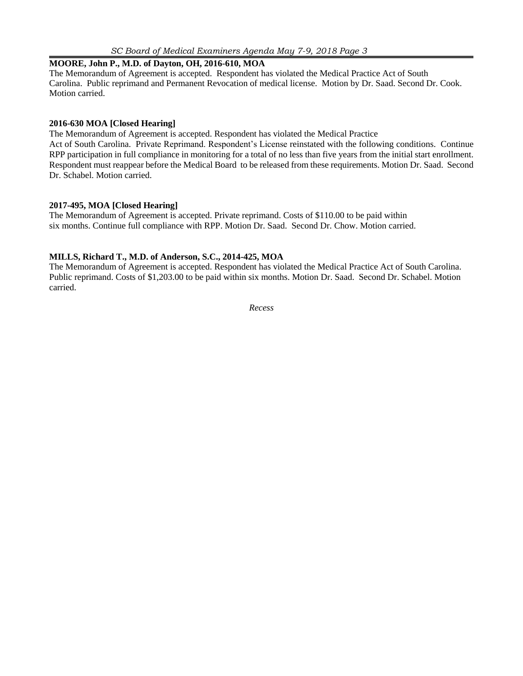### **MOORE, John P., M.D. of Dayton, OH, 2016-610, MOA**

The Memorandum of Agreement is accepted. Respondent has violated the Medical Practice Act of South Carolina. Public reprimand and Permanent Revocation of medical license. Motion by Dr. Saad. Second Dr. Cook. Motion carried.

#### **2016-630 MOA [Closed Hearing]**

The Memorandum of Agreement is accepted. Respondent has violated the Medical Practice Act of South Carolina. Private Reprimand. Respondent's License reinstated with the following conditions. Continue RPP participation in full compliance in monitoring for a total of no less than five years from the initial start enrollment. Respondent must reappear before the Medical Board to be released from these requirements. Motion Dr. Saad. Second Dr. Schabel. Motion carried.

### **2017-495, MOA [Closed Hearing]**

The Memorandum of Agreement is accepted. Private reprimand. Costs of \$110.00 to be paid within six months. Continue full compliance with RPP. Motion Dr. Saad. Second Dr. Chow. Motion carried.

#### **MILLS, Richard T., M.D. of Anderson, S.C., 2014-425, MOA**

The Memorandum of Agreement is accepted. Respondent has violated the Medical Practice Act of South Carolina. Public reprimand. Costs of \$1,203.00 to be paid within six months. Motion Dr. Saad. Second Dr. Schabel. Motion carried.

*Recess*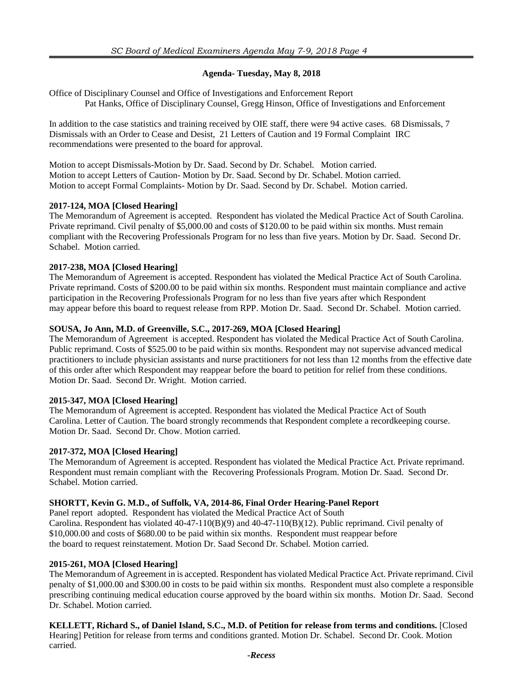### **Agenda- Tuesday, May 8, 2018**

Office of Disciplinary Counsel and Office of Investigations and Enforcement Report Pat Hanks, Office of Disciplinary Counsel, Gregg Hinson, Office of Investigations and Enforcement

In addition to the case statistics and training received by OIE staff, there were 94 active cases. 68 Dismissals, 7 Dismissals with an Order to Cease and Desist, 21 Letters of Caution and 19 Formal Complaint IRC recommendations were presented to the board for approval.

Motion to accept Dismissals-Motion by Dr. Saad. Second by Dr. Schabel. Motion carried. Motion to accept Letters of Caution- Motion by Dr. Saad. Second by Dr. Schabel. Motion carried. Motion to accept Formal Complaints- Motion by Dr. Saad. Second by Dr. Schabel. Motion carried.

#### **2017-124, MOA [Closed Hearing]**

The Memorandum of Agreement is accepted. Respondent has violated the Medical Practice Act of South Carolina. Private reprimand. Civil penalty of \$5,000.00 and costs of \$120.00 to be paid within six months. Must remain compliant with the Recovering Professionals Program for no less than five years. Motion by Dr. Saad. Second Dr. Schabel. Motion carried.

### **2017-238, MOA [Closed Hearing]**

The Memorandum of Agreement is accepted. Respondent has violated the Medical Practice Act of South Carolina. Private reprimand. Costs of \$200.00 to be paid within six months. Respondent must maintain compliance and active participation in the Recovering Professionals Program for no less than five years after which Respondent may appear before this board to request release from RPP. Motion Dr. Saad. Second Dr. Schabel. Motion carried.

#### **SOUSA, Jo Ann, M.D. of Greenville, S.C., 2017-269, MOA [Closed Hearing]**

The Memorandum of Agreement is accepted. Respondent has violated the Medical Practice Act of South Carolina. Public reprimand. Costs of \$525.00 to be paid within six months. Respondent may not supervise advanced medical practitioners to include physician assistants and nurse practitioners for not less than 12 months from the effective date of this order after which Respondent may reappear before the board to petition for relief from these conditions. Motion Dr. Saad. Second Dr. Wright. Motion carried.

### **2015-347, MOA [Closed Hearing]**

The Memorandum of Agreement is accepted. Respondent has violated the Medical Practice Act of South Carolina. Letter of Caution. The board strongly recommends that Respondent complete a recordkeeping course. Motion Dr. Saad. Second Dr. Chow. Motion carried.

### **2017-372, MOA [Closed Hearing]**

The Memorandum of Agreement is accepted. Respondent has violated the Medical Practice Act. Private reprimand. Respondent must remain compliant with the Recovering Professionals Program. Motion Dr. Saad. Second Dr. Schabel. Motion carried.

### **SHORTT, Kevin G. M.D., of Suffolk, VA, 2014-86, Final Order Hearing-Panel Report**

Panel report adopted. Respondent has violated the Medical Practice Act of South Carolina. Respondent has violated 40-47-110(B)(9) and 40-47-110(B)(12). Public reprimand. Civil penalty of \$10,000.00 and costs of \$680.00 to be paid within six months. Respondent must reappear before the board to request reinstatement. Motion Dr. Saad Second Dr. Schabel. Motion carried.

#### **2015-261, MOA [Closed Hearing]**

The Memorandum of Agreement in is accepted. Respondent has violated Medical Practice Act. Private reprimand. Civil penalty of \$1,000.00 and \$300.00 in costs to be paid within six months. Respondent must also complete a responsible prescribing continuing medical education course approved by the board within six months. Motion Dr. Saad. Second Dr. Schabel. Motion carried.

**KELLETT, Richard S., of Daniel Island, S.C., M.D. of Petition for release from terms and conditions.** [Closed Hearing] Petition for release from terms and conditions granted. Motion Dr. Schabel. Second Dr. Cook. Motion carried.